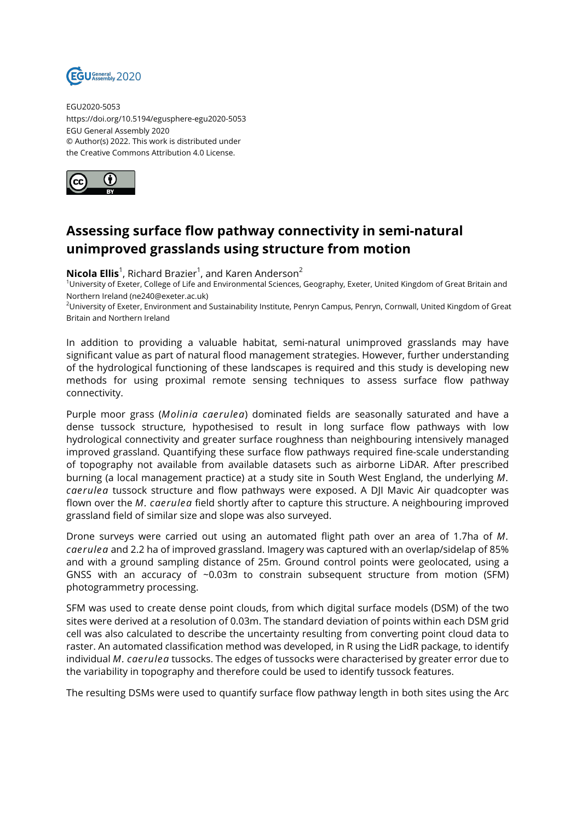

EGU2020-5053 https://doi.org/10.5194/egusphere-egu2020-5053 EGU General Assembly 2020 © Author(s) 2022. This work is distributed under the Creative Commons Attribution 4.0 License.



## **Assessing surface flow pathway connectivity in semi-natural unimproved grasslands using structure from motion**

**Nicola Ellis**<sup>1</sup>, Richard Brazier<sup>1</sup>, and Karen Anderson<sup>2</sup>

<sup>1</sup>University of Exeter, College of Life and Environmental Sciences, Geography, Exeter, United Kingdom of Great Britain and Northern Ireland (ne240@exeter.ac.uk)

<sup>2</sup>University of Exeter, Environment and Sustainability Institute, Penryn Campus, Penryn, Cornwall, United Kingdom of Great Britain and Northern Ireland

In addition to providing a valuable habitat, semi-natural unimproved grasslands may have significant value as part of natural flood management strategies. However, further understanding of the hydrological functioning of these landscapes is required and this study is developing new methods for using proximal remote sensing techniques to assess surface flow pathway connectivity.

Purple moor grass (*Molinia caerulea*) dominated fields are seasonally saturated and have a dense tussock structure, hypothesised to result in long surface flow pathways with low hydrological connectivity and greater surface roughness than neighbouring intensively managed improved grassland. Quantifying these surface flow pathways required fine-scale understanding of topography not available from available datasets such as airborne LiDAR. After prescribed burning (a local management practice) at a study site in South West England, the underlying *M. caerulea* tussock structure and flow pathways were exposed. A DJI Mavic Air quadcopter was flown over the *M. caerulea* field shortly after to capture this structure. A neighbouring improved grassland field of similar size and slope was also surveyed.

Drone surveys were carried out using an automated flight path over an area of 1.7ha of *M. caerulea* and 2.2 ha of improved grassland. Imagery was captured with an overlap/sidelap of 85% and with a ground sampling distance of 25m. Ground control points were geolocated, using a GNSS with an accuracy of  $\sim$ 0.03m to constrain subsequent structure from motion (SFM) photogrammetry processing.

SFM was used to create dense point clouds, from which digital surface models (DSM) of the two sites were derived at a resolution of 0.03m. The standard deviation of points within each DSM grid cell was also calculated to describe the uncertainty resulting from converting point cloud data to raster. An automated classification method was developed, in R using the LidR package, to identify individual *M. caerulea* tussocks. The edges of tussocks were characterised by greater error due to the variability in topography and therefore could be used to identify tussock features.

The resulting DSMs were used to quantify surface flow pathway length in both sites using the Arc